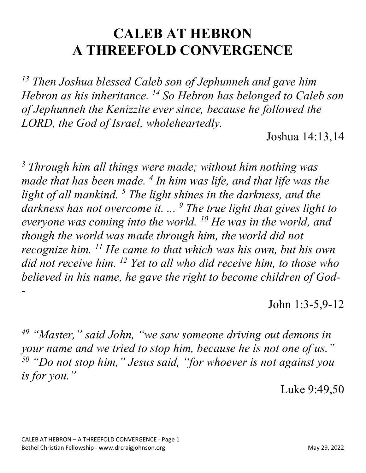## **CALEB AT HEBRON A THREEFOLD CONVERGENCE**

*<sup>13</sup> Then Joshua blessed Caleb son of Jephunneh and gave him Hebron as his inheritance. 14 So Hebron has belonged to Caleb son of Jephunneh the Kenizzite ever since, because he followed the LORD, the God of Israel, wholeheartedly.*

Joshua 14:13,14

*<sup>3</sup> Through him all things were made; without him nothing was made that has been made. 4 In him was life, and that life was the light of all mankind. 5 The light shines in the darkness, and the darkness has not overcome it. ... 9 The true light that gives light to everyone was coming into the world. 10 He was in the world, and though the world was made through him, the world did not recognize him. 11 He came to that which was his own, but his own did not receive him. 12 Yet to all who did receive him, to those who believed in his name, he gave the right to become children of God- -*

John 1:3-5,9-12

*<sup>49</sup> "Master," said John, "we saw someone driving out demons in your name and we tried to stop him, because he is not one of us." <sup>50</sup> "Do not stop him," Jesus said, "for whoever is not against you is for you."*

Luke 9:49,50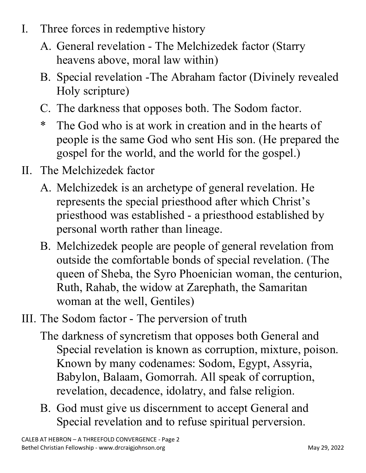- I. Three forces in redemptive history
	- A. General revelation The Melchizedek factor (Starry heavens above, moral law within)
	- B. Special revelation -The Abraham factor (Divinely revealed Holy scripture)
	- C. The darkness that opposes both. The Sodom factor.
	- \* The God who is at work in creation and in the hearts of people is the same God who sent His son. (He prepared the gospel for the world, and the world for the gospel.)
- II. The Melchizedek factor
	- A. Melchizedek is an archetype of general revelation. He represents the special priesthood after which Christ's priesthood was established - a priesthood established by personal worth rather than lineage.
	- B. Melchizedek people are people of general revelation from outside the comfortable bonds of special revelation. (The queen of Sheba, the Syro Phoenician woman, the centurion, Ruth, Rahab, the widow at Zarephath, the Samaritan woman at the well, Gentiles)
- III. The Sodom factor The perversion of truth
	- The darkness of syncretism that opposes both General and Special revelation is known as corruption, mixture, poison. Known by many codenames: Sodom, Egypt, Assyria, Babylon, Balaam, Gomorrah. All speak of corruption, revelation, decadence, idolatry, and false religion.
	- B. God must give us discernment to accept General and Special revelation and to refuse spiritual perversion.